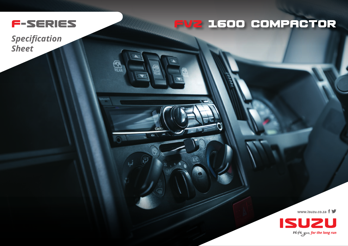

**CAR** 

 $\overline{a}$ 

 $\overline{144}$ 

## **FVZ 16OO COMPACTOR**

*Specification Sheet*

**www.isuzu.co.za**